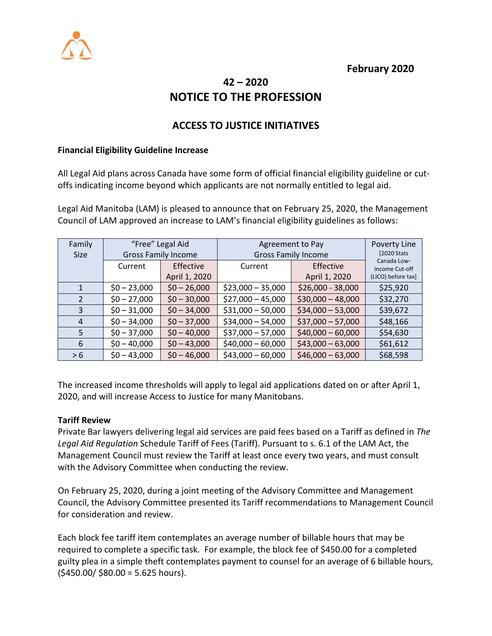

## **February 2020**

# **42 – 2020 NOTICE TO THE PROFESSION**

## **ACCESS TO JUSTICE INITIATIVES**

#### **Financial Eligibility Guideline Increase**

All Legal Aid plans across Canada have some form of official financial eligibility guideline or cutoffs indicating income beyond which applicants are not normally entitled to legal aid.

Legal Aid Manitoba (LAM) is pleased to announce that on February 25, 2020, the Management Council of LAM approved an increase to LAM's financial eligibility guidelines as follows:

| Family        | "Free" Legal Aid           |               | Agreement to Pay           |                    | Poverty Line                  |
|---------------|----------------------------|---------------|----------------------------|--------------------|-------------------------------|
| <b>Size</b>   | <b>Gross Family Income</b> |               | <b>Gross Family Income</b> |                    | [2020 Stats]                  |
|               | Current                    | Effective     | Current                    | <b>Effective</b>   | Canada Low-<br>Income Cut-off |
|               |                            | April 1, 2020 |                            | April 1, 2020      | (LICO) before tax]            |
|               | $$0 - 23,000$              | $$0 - 26,000$ | $$23,000 - 35,000$         | \$26,000 - 38,000  | \$25,920                      |
| $\mathcal{L}$ | $$0 - 27,000$              | $$0 - 30,000$ | $$27,000 - 45,000$         | $$30,000 - 48,000$ | \$32,270                      |
| 3             | $$0 - 31,000$              | $$0 - 34,000$ | $$31,000 - 50,000$         | $$34,000 - 53,000$ | \$39,672                      |
| 4             | $$0 - 34,000$              | $$0 - 37,000$ | $$34,000 - 54,000$         | $$37,000 - 57,000$ | \$48,166                      |
| 5             | $$0 - 37,000$              | $$0 - 40,000$ | $$37,000 - 57,000$         | $$40,000 - 60,000$ | \$54,630                      |
| 6             | $$0 - 40,000$              | $$0 - 43,000$ | $$40,000 - 60,000$         | $$43,000 - 63,000$ | \$61,612                      |
| > 6           | $$0 - 43,000$              | $$0 - 46,000$ | $$43,000 - 60,000$         | $$46,000 - 63,000$ | \$68,598                      |

The increased income thresholds will apply to legal aid applications dated on or after April 1, 2020, and will increase Access to Justice for many Manitobans.

#### **Tariff Review**

Private Bar lawyers delivering legal aid services are paid fees based on a Tariff as defined in *The Legal Aid Regulation* Schedule Tariff of Fees (Tariff). Pursuant to s. 6.1 of the LAM Act, the Management Council must review the Tariff at least once every two years, and must consult with the Advisory Committee when conducting the review.

On February 25, 2020, during a joint meeting of the Advisory Committee and Management Council, the Advisory Committee presented its Tariff recommendations to Management Council for consideration and review.

Each block fee tariff item contemplates an average number of billable hours that may be required to complete a specific task. For example, the block fee of \$450.00 for a completed guilty plea in a simple theft contemplates payment to counsel for an average of 6 billable hours,  $($ \$450.00/ \$80.00 = 5.625 hours).